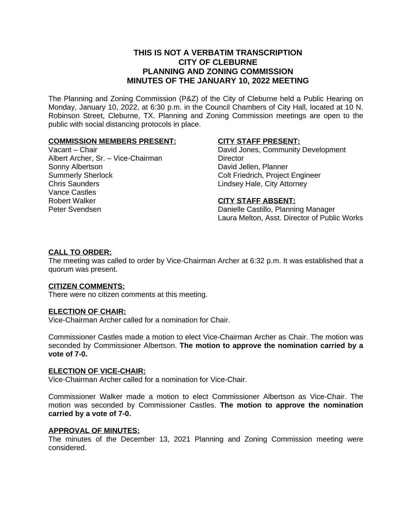# **THIS IS NOT A VERBATIM TRANSCRIPTION CITY OF CLEBURNE PLANNING AND ZONING COMMISSION MINUTES OF THE JANUARY 10, 2022 MEETING**

The Planning and Zoning Commission (P&Z) of the City of Cleburne held a Public Hearing on Monday, January 10, 2022, at 6:30 p.m. in the Council Chambers of City Hall, located at 10 N. Robinson Street, Cleburne, TX. Planning and Zoning Commission meetings are open to the public with social distancing protocols in place.

# **COMMISSION MEMBERS PRESENT:**

Vacant – Chair Albert Archer, Sr. – Vice-Chairman Sonny Albertson Summerly Sherlock Chris Saunders Vance Castles Robert Walker Peter Svendsen

# **CITY STAFF PRESENT:**

David Jones, Community Development **Director** David Jellen, Planner Colt Friedrich, Project Engineer Lindsey Hale, City Attorney

#### **CITY STAFF ABSENT:**

Danielle Castillo, Planning Manager Laura Melton, Asst. Director of Public Works

# **CALL TO ORDER:**

The meeting was called to order by Vice-Chairman Archer at 6:32 p.m. It was established that a quorum was present.

#### **CITIZEN COMMENTS:**

There were no citizen comments at this meeting.

#### **ELECTION OF CHAIR:**

Vice-Chairman Archer called for a nomination for Chair.

Commissioner Castles made a motion to elect Vice-Chairman Archer as Chair. The motion was seconded by Commissioner Albertson. **The motion to approve the nomination carried by a vote of 7-0.**

#### **ELECTION OF VICE-CHAIR:**

Vice-Chairman Archer called for a nomination for Vice-Chair.

Commissioner Walker made a motion to elect Commissioner Albertson as Vice-Chair. The motion was seconded by Commissioner Castles. **The motion to approve the nomination carried by a vote of 7-0.**

#### **APPROVAL OF MINUTES:**

The minutes of the December 13, 2021 Planning and Zoning Commission meeting were considered.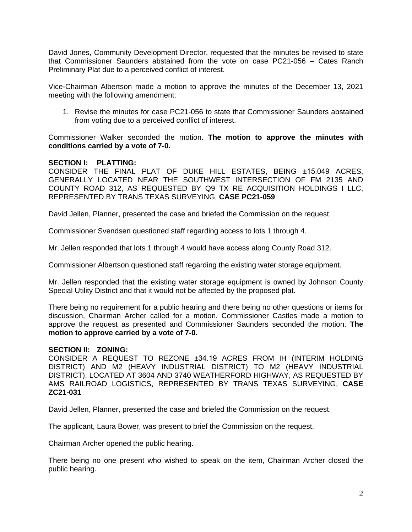David Jones, Community Development Director, requested that the minutes be revised to state that Commissioner Saunders abstained from the vote on case PC21-056 – Cates Ranch Preliminary Plat due to a perceived conflict of interest.

Vice-Chairman Albertson made a motion to approve the minutes of the December 13, 2021 meeting with the following amendment:

1. Revise the minutes for case PC21-056 to state that Commissioner Saunders abstained from voting due to a perceived conflict of interest.

Commissioner Walker seconded the motion. **The motion to approve the minutes with conditions carried by a vote of 7-0.**

# **SECTION I: PLATTING:**

CONSIDER THE FINAL PLAT OF DUKE HILL ESTATES, BEING ±15.049 ACRES, GENERALLY LOCATED NEAR THE SOUTHWEST INTERSECTION OF FM 2135 AND COUNTY ROAD 312, AS REQUESTED BY Q9 TX RE ACQUISITION HOLDINGS I LLC, REPRESENTED BY TRANS TEXAS SURVEYING, **CASE PC21-059**

David Jellen, Planner, presented the case and briefed the Commission on the request.

Commissioner Svendsen questioned staff regarding access to lots 1 through 4.

Mr. Jellen responded that lots 1 through 4 would have access along County Road 312.

Commissioner Albertson questioned staff regarding the existing water storage equipment.

Mr. Jellen responded that the existing water storage equipment is owned by Johnson County Special Utility District and that it would not be affected by the proposed plat.

There being no requirement for a public hearing and there being no other questions or items for discussion, Chairman Archer called for a motion. Commissioner Castles made a motion to approve the request as presented and Commissioner Saunders seconded the motion. **The motion to approve carried by a vote of 7-0.**

#### **SECTION II: ZONING:**

CONSIDER A REQUEST TO REZONE ±34.19 ACRES FROM IH (INTERIM HOLDING DISTRICT) AND M2 (HEAVY INDUSTRIAL DISTRICT) TO M2 (HEAVY INDUSTRIAL DISTRICT), LOCATED AT 3604 AND 3740 WEATHERFORD HIGHWAY, AS REQUESTED BY AMS RAILROAD LOGISTICS, REPRESENTED BY TRANS TEXAS SURVEYING, **CASE ZC21-031**

David Jellen, Planner, presented the case and briefed the Commission on the request.

The applicant, Laura Bower, was present to brief the Commission on the request.

Chairman Archer opened the public hearing.

There being no one present who wished to speak on the item, Chairman Archer closed the public hearing.